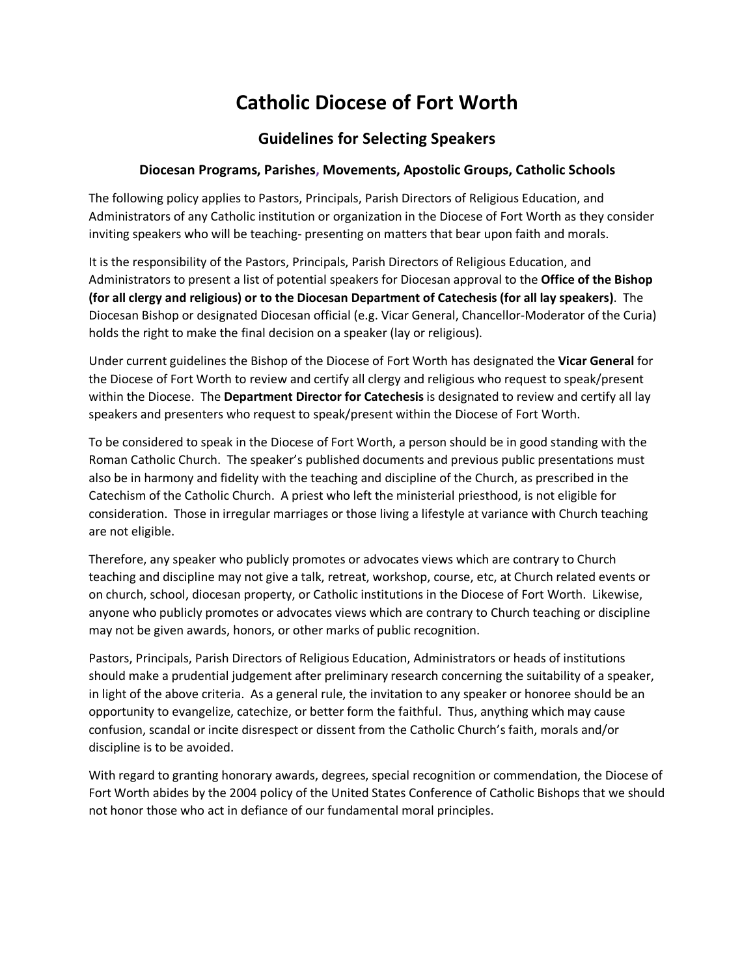# **Catholic Diocese of Fort Worth**

## **Guidelines for Selecting Speakers**

#### **Diocesan Programs, Parishes, Movements, Apostolic Groups, Catholic Schools**

The following policy applies to Pastors, Principals, Parish Directors of Religious Education, and Administrators of any Catholic institution or organization in the Diocese of Fort Worth as they consider inviting speakers who will be teaching- presenting on matters that bear upon faith and morals.

It is the responsibility of the Pastors, Principals, Parish Directors of Religious Education, and Administrators to present a list of potential speakers for Diocesan approval to the **Office of the Bishop (for all clergy and religious) or to the Diocesan Department of Catechesis (for all lay speakers)**. The Diocesan Bishop or designated Diocesan official (e.g. Vicar General, Chancellor-Moderator of the Curia) holds the right to make the final decision on a speaker (lay or religious).

Under current guidelines the Bishop of the Diocese of Fort Worth has designated the **Vicar General** for the Diocese of Fort Worth to review and certify all clergy and religious who request to speak/present within the Diocese. The **Department Director for Catechesis** is designated to review and certify all lay speakers and presenters who request to speak/present within the Diocese of Fort Worth.

To be considered to speak in the Diocese of Fort Worth, a person should be in good standing with the Roman Catholic Church. The speaker's published documents and previous public presentations must also be in harmony and fidelity with the teaching and discipline of the Church, as prescribed in the Catechism of the Catholic Church. A priest who left the ministerial priesthood, is not eligible for consideration. Those in irregular marriages or those living a lifestyle at variance with Church teaching are not eligible.

Therefore, any speaker who publicly promotes or advocates views which are contrary to Church teaching and discipline may not give a talk, retreat, workshop, course, etc, at Church related events or on church, school, diocesan property, or Catholic institutions in the Diocese of Fort Worth. Likewise, anyone who publicly promotes or advocates views which are contrary to Church teaching or discipline may not be given awards, honors, or other marks of public recognition.

Pastors, Principals, Parish Directors of Religious Education, Administrators or heads of institutions should make a prudential judgement after preliminary research concerning the suitability of a speaker, in light of the above criteria. As a general rule, the invitation to any speaker or honoree should be an opportunity to evangelize, catechize, or better form the faithful. Thus, anything which may cause confusion, scandal or incite disrespect or dissent from the Catholic Church's faith, morals and/or discipline is to be avoided.

With regard to granting honorary awards, degrees, special recognition or commendation, the Diocese of Fort Worth abides by the 2004 policy of the United States Conference of Catholic Bishops that we should not honor those who act in defiance of our fundamental moral principles.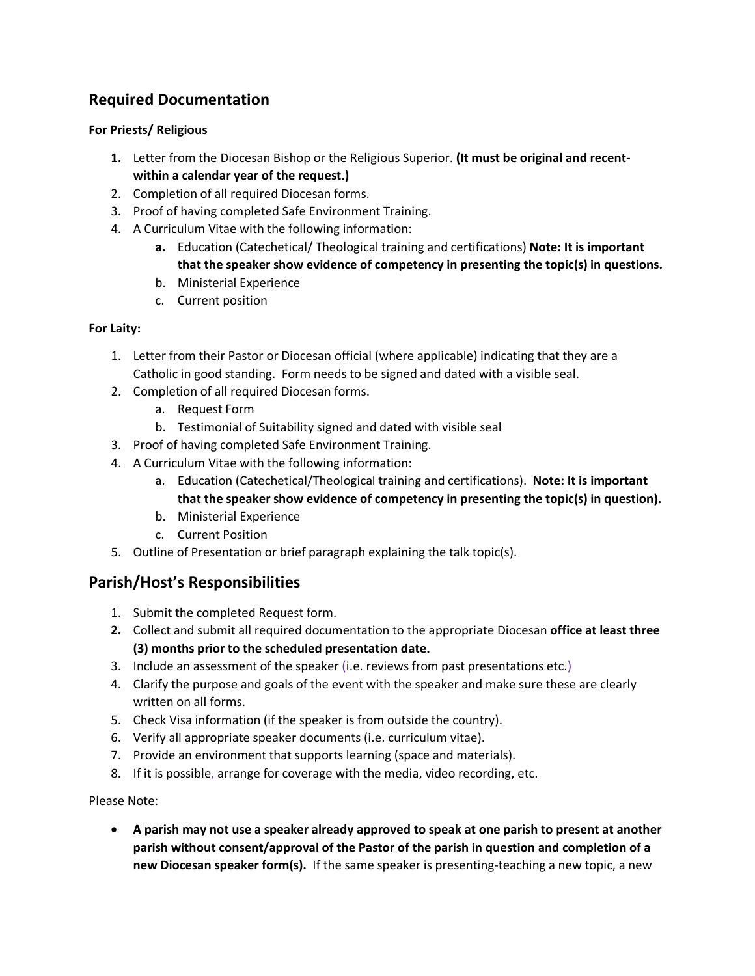## **Required Documentation**

#### **For Priests/ Religious**

- **1.** Letter from the Diocesan Bishop or the Religious Superior. **(It must be original and recentwithin a calendar year of the request.)**
- 2. Completion of all required Diocesan forms.
- 3. Proof of having completed Safe Environment Training.
- 4. A Curriculum Vitae with the following information:
	- **a.** Education (Catechetical/ Theological training and certifications) **Note: It is important that the speaker show evidence of competency in presenting the topic(s) in questions.**
	- b. Ministerial Experience
	- c. Current position

### **For Laity:**

- 1. Letter from their Pastor or Diocesan official (where applicable) indicating that they are a Catholic in good standing. Form needs to be signed and dated with a visible seal.
- 2. Completion of all required Diocesan forms.
	- a. Request Form
	- b. Testimonial of Suitability signed and dated with visible seal
- 3. Proof of having completed Safe Environment Training.
- 4. A Curriculum Vitae with the following information:
	- a. Education (Catechetical/Theological training and certifications). **Note: It is important that the speaker show evidence of competency in presenting the topic(s) in question).**
	- b. Ministerial Experience
	- c. Current Position
- 5. Outline of Presentation or brief paragraph explaining the talk topic(s).

## **Parish/Host's Responsibilities**

- 1. Submit the completed Request form.
- **2.** Collect and submit all required documentation to the appropriate Diocesan **office at least three (3) months prior to the scheduled presentation date.**
- 3. Include an assessment of the speaker (i.e. reviews from past presentations etc.)
- 4. Clarify the purpose and goals of the event with the speaker and make sure these are clearly written on all forms.
- 5. Check Visa information (if the speaker is from outside the country).
- 6. Verify all appropriate speaker documents (i.e. curriculum vitae).
- 7. Provide an environment that supports learning (space and materials).
- 8. If it is possible, arrange for coverage with the media, video recording, etc.

Please Note:

• **A parish may not use a speaker already approved to speak at one parish to present at another parish without consent/approval of the Pastor of the parish in question and completion of a new Diocesan speaker form(s).** If the same speaker is presenting-teaching a new topic, a new